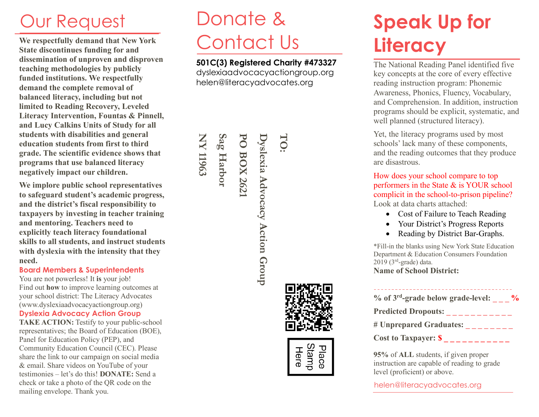**We respectfully demand that New York State discontinues funding for and dissemination of unproven and disproven teaching methodologies by publicly funded institutions. We respectfully demand the complete removal of balanced literacy, including but not limited to Reading Recovery, Leveled Literacy Intervention, Fountas & Pinnell, and Lucy Calkins Units of Study for all students with disabilities and general education students from first to third grade. The scientific evidence shows that programs that use balanced literacy negatively impact our children.** 

**We implore public school representatives to safeguard student's academic progress, and the district's fiscal responsibility to taxpayers by investing in teacher training and mentoring. Teachers need to explicitly teach literacy foundational skills to all students, and instruct students with dyslexia with the intensity that they need.** 

#### **Board Members & Superintendents**

You are not powerless! It **is** your job! Find out **how** to improve learning outcomes at your school district: The Literacy Advocates (www.dyslexiaadvocacyactiongroup.org)

#### **Dyslexia Advocacy Action Group**

**TAKE ACTION:** Testify to your public-school representatives; the Board of Education (BOE), Panel for Education Policy (PEP), and Community Education Council (CEC). Please share the link to our campaign on social media & email. Share videos on YouTube of your testimonies – let's do this! **DONATE:** Send a check or take a photo of the QR code on the mailing envelope. Thank you.

## Our Request **Donate & Speak Up for** Donate & Contact Us

**501C(3) Registered Charity #473327**  dyslexiaadvocacyactiongroup.org helen@literacyadvocates.org





# **Literacy**

The National Reading Panel identified five key concepts at the core of every effective reading instruction program: Phonemic Awareness, Phonics, Fluency, Vocabulary, and Comprehension. In addition, instruction programs should be explicit, systematic, and well planned (structured literacy).

Yet, the literacy programs used by most schools' lack many of these components, and the reading outcomes that they produce are disastrous.

How does your school compare to top performers in the State & is YOUR school complicit in the school-to-prison pipeline? Look at data charts attached:

- Cost of Failure to Teach Reading
- Your District's Progress Reports
- Reading by District Bar-Graphs.

\*Fill-in the blanks using New York State Education Department & Education Consumers Foundation  $2019$  ( $3<sup>rd</sup>$ -grade) data. **Name of School District:** 

| $\%$ of 3 <sup>rd</sup> -grade below grade-level:<br>$\frac{1}{2}$ |
|--------------------------------------------------------------------|
| <b>Predicted Dropouts:</b>                                         |
| # Unprepared Graduates:                                            |
| <b>Cost to Taxpayer: \$</b>                                        |

**95%** of **ALL** students, if given proper instruction are capable of reading to grade level (proficient) or above.

helen@literacyadvocates.org